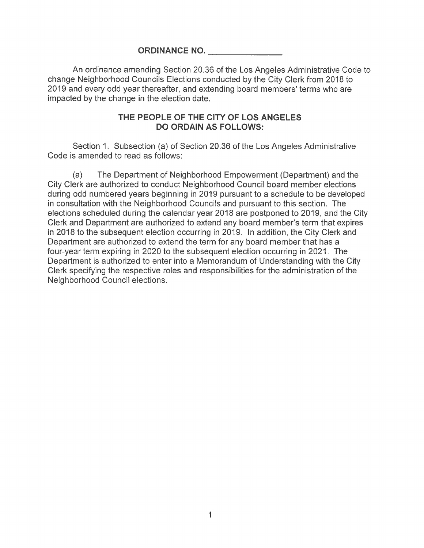## **ORDINANCE NO.**

An ordinance amending Section 20.36 of the Los Angeles Administrative Code to change Neighborhood Councils Elections conducted by the City Clerk from 2018 to 2019 and every odd year thereafter, and extending board members' terms who are impacted by the change in the election date.

## **THE PEOPLE OF THE CITY OF LOS ANGELES DO ORDAIN AS FOLLOWS:**

Section 1. Subsection (a) of Section 20.36 of the Los Angeles Administrative Code is amended to read as follows:

(a) The Department of Neighborhood Empowerment (Department) and the City Clerk are authorized to conduct Neighborhood Council board member elections during odd numbered years beginning in 2019 pursuant to a schedule to be developed in consultation with the Neighborhood Councils and pursuant to this section. The elections scheduled during the calendar year 2018 are postponed to 2019, and the City Clerk and Department are authorized to extend any board member's term that expires in 2018 to the subsequent election occurring in 2019. In addition, the City Clerk and Department are authorized to extend the term for any board member that has a four-year term expiring in 2020 to the subsequent election occurring in 2021. The Department is authorized to enter into a Memorandum of Understanding with the City Clerk specifying the respective roles and responsibilities for the administration of the Neighborhood Council elections.